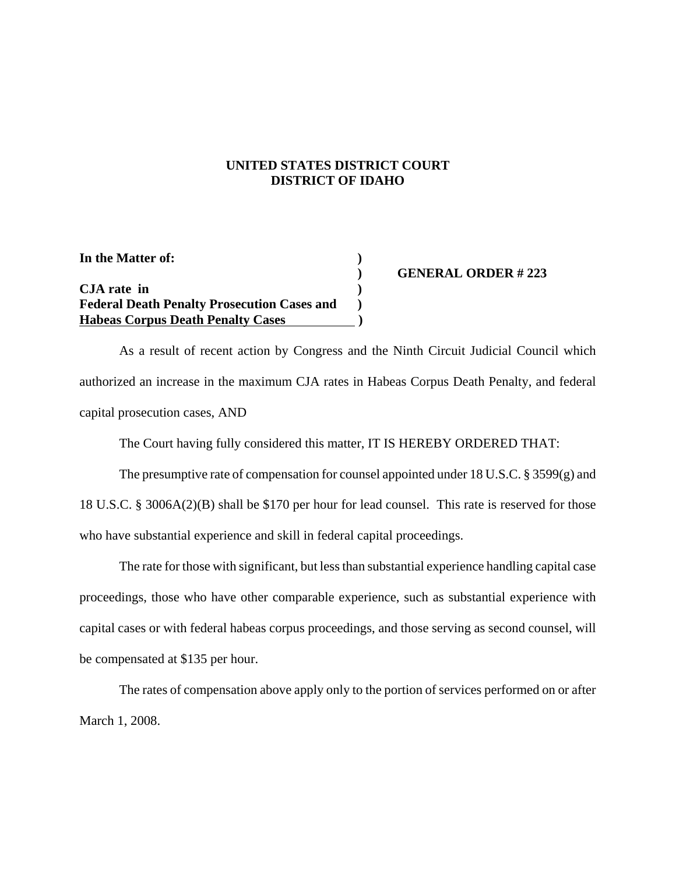## **UNITED STATES DISTRICT COURT DISTRICT OF IDAHO**

**In the Matter of: ) CJA rate in ) Federal Death Penalty Prosecution Cases and ) Habeas Corpus Death Penalty Cases )**

## **) GENERAL ORDER # 223**

As a result of recent action by Congress and the Ninth Circuit Judicial Council which authorized an increase in the maximum CJA rates in Habeas Corpus Death Penalty, and federal capital prosecution cases, AND

The Court having fully considered this matter, IT IS HEREBY ORDERED THAT:

The presumptive rate of compensation for counsel appointed under 18 U.S.C. § 3599(g) and 18 U.S.C. § 3006A(2)(B) shall be \$170 per hour for lead counsel. This rate is reserved for those who have substantial experience and skill in federal capital proceedings.

The rate for those with significant, but less than substantial experience handling capital case proceedings, those who have other comparable experience, such as substantial experience with capital cases or with federal habeas corpus proceedings, and those serving as second counsel, will be compensated at \$135 per hour.

The rates of compensation above apply only to the portion of services performed on or after March 1, 2008.